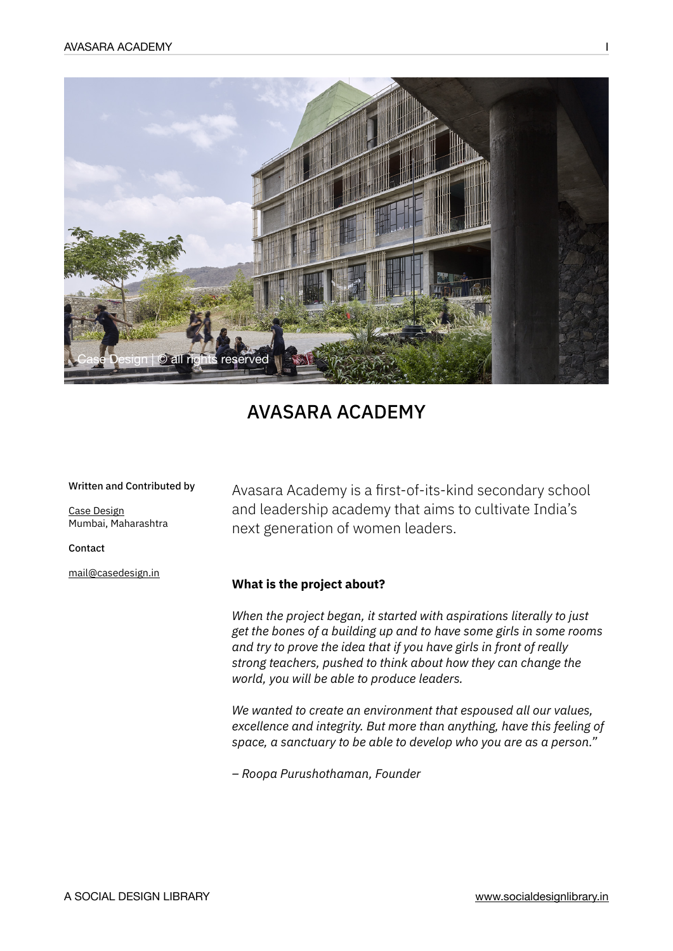

# AVASARA ACADEMY

#### Written and Contributed by

[Case Design](https://casedesign.in/) Mumbai, Maharashtra

Contact

[mail@casedesign.in](mailto:mail@casedesign.in)

Avasara Academy is a first-of-its-kind secondary school and leadership academy that aims to cultivate India's next generation of women leaders.

## **What is the project about?**

*When the project began, it started with aspirations literally to just get the bones of a building up and to have some girls in some rooms and try to prove the idea that if you have girls in front of really strong teachers, pushed to think about how they can change the world, you will be able to produce leaders.* 

*We wanted to create an environment that espoused all our values, excellence and integrity. But more than anything, have this feeling of space, a sanctuary to be able to develop who you are as a person."*

*– Roopa Purushothaman, Founder*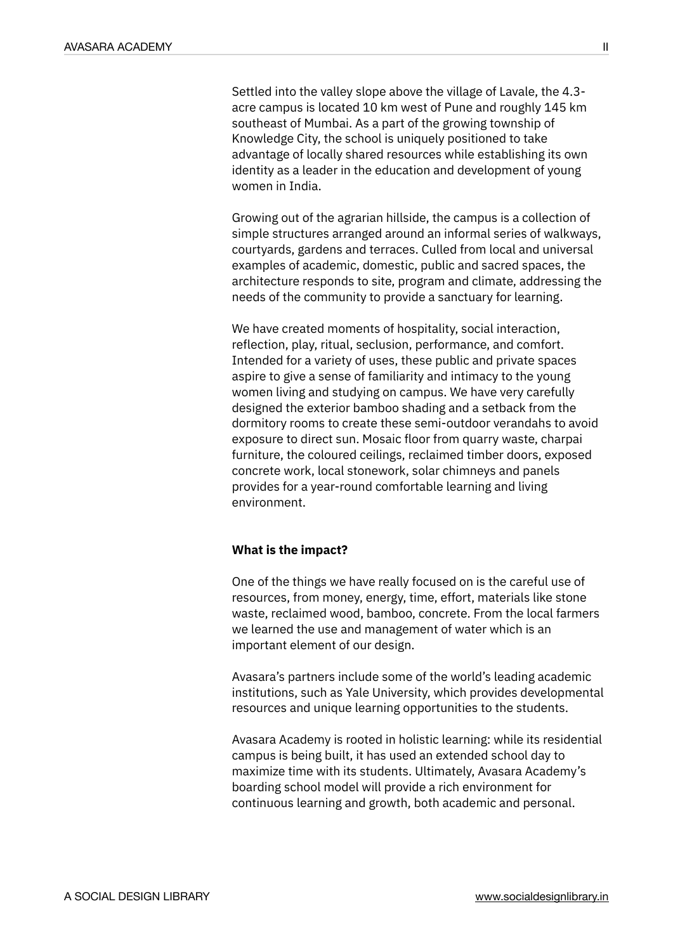Settled into the valley slope above the village of Lavale, the 4.3 acre campus is located 10 km west of Pune and roughly 145 km southeast of Mumbai. As a part of the growing township of Knowledge City, the school is uniquely positioned to take advantage of locally shared resources while establishing its own identity as a leader in the education and development of young women in India.

Growing out of the agrarian hillside, the campus is a collection of simple structures arranged around an informal series of walkways, courtyards, gardens and terraces. Culled from local and universal examples of academic, domestic, public and sacred spaces, the architecture responds to site, program and climate, addressing the needs of the community to provide a sanctuary for learning.

We have created moments of hospitality, social interaction, reflection, play, ritual, seclusion, performance, and comfort. Intended for a variety of uses, these public and private spaces aspire to give a sense of familiarity and intimacy to the young women living and studying on campus. We have very carefully designed the exterior bamboo shading and a setback from the dormitory rooms to create these semi-outdoor verandahs to avoid exposure to direct sun. Mosaic floor from quarry waste, charpai furniture, the coloured ceilings, reclaimed timber doors, exposed concrete work, local stonework, solar chimneys and panels provides for a year-round comfortable learning and living environment.

## **What is the impact?**

One of the things we have really focused on is the careful use of resources, from money, energy, time, effort, materials like stone waste, reclaimed wood, bamboo, concrete. From the local farmers we learned the use and management of water which is an important element of our design.

Avasara's partners include some of the world's leading academic institutions, such as Yale University, which provides developmental resources and unique learning opportunities to the students.

Avasara Academy is rooted in holistic learning: while its residential campus is being built, it has used an extended school day to maximize time with its students. Ultimately, Avasara Academy's boarding school model will provide a rich environment for continuous learning and growth, both academic and personal.